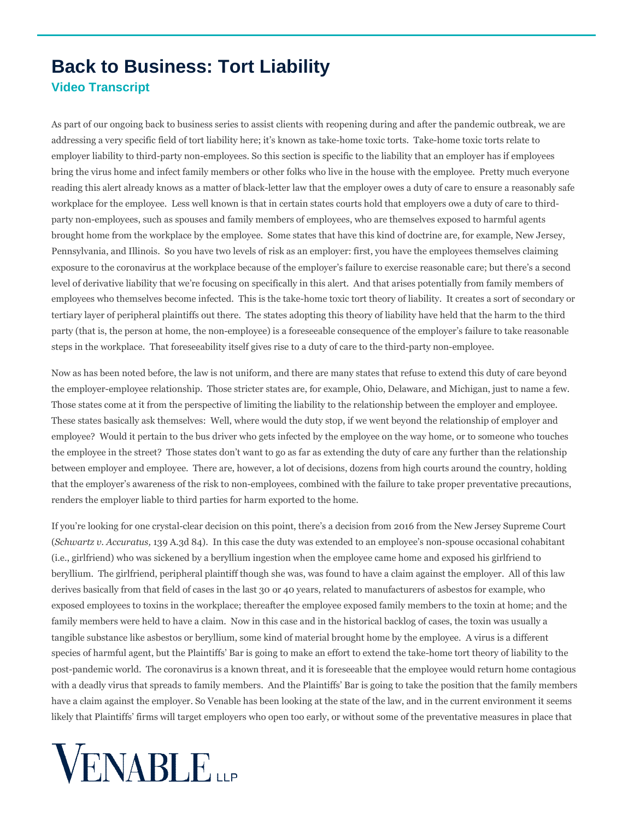## **Back to Business: Tort Liability Video Transcript**

As part of our ongoing back to business series to assist clients with reopening during and after the pandemic outbreak, we are addressing a very specific field of tort liability here; it's known as take-home toxic torts. Take-home toxic torts relate to employer liability to third-party non-employees. So this section is specific to the liability that an employer has if employees bring the virus home and infect family members or other folks who live in the house with the employee. Pretty much everyone reading this alert already knows as a matter of black-letter law that the employer owes a duty of care to ensure a reasonably safe workplace for the employee. Less well known is that in certain states courts hold that employers owe a duty of care to thirdparty non-employees, such as spouses and family members of employees, who are themselves exposed to harmful agents brought home from the workplace by the employee. Some states that have this kind of doctrine are, for example, New Jersey, Pennsylvania, and Illinois. So you have two levels of risk as an employer: first, you have the employees themselves claiming exposure to the coronavirus at the workplace because of the employer's failure to exercise reasonable care; but there's a second level of derivative liability that we're focusing on specifically in this alert. And that arises potentially from family members of employees who themselves become infected. This is the take-home toxic tort theory of liability. It creates a sort of secondary or tertiary layer of peripheral plaintiffs out there. The states adopting this theory of liability have held that the harm to the third party (that is, the person at home, the non-employee) is a foreseeable consequence of the employer's failure to take reasonable steps in the workplace. That foreseeability itself gives rise to a duty of care to the third-party non-employee.

Now as has been noted before, the law is not uniform, and there are many states that refuse to extend this duty of care beyond the employer-employee relationship. Those stricter states are, for example, Ohio, Delaware, and Michigan, just to name a few. Those states come at it from the perspective of limiting the liability to the relationship between the employer and employee. These states basically ask themselves: Well, where would the duty stop, if we went beyond the relationship of employer and employee? Would it pertain to the bus driver who gets infected by the employee on the way home, or to someone who touches the employee in the street? Those states don't want to go as far as extending the duty of care any further than the relationship between employer and employee. There are, however, a lot of decisions, dozens from high courts around the country, holding that the employer's awareness of the risk to non-employees, combined with the failure to take proper preventative precautions, renders the employer liable to third parties for harm exported to the home.

If you're looking for one crystal-clear decision on this point, there's a decision from 2016 from the New Jersey Supreme Court (*Schwartz v. Accuratus,* 139 A.3d 84). In this case the duty was extended to an employee's non-spouse occasional cohabitant (i.e., girlfriend) who was sickened by a beryllium ingestion when the employee came home and exposed his girlfriend to beryllium. The girlfriend, peripheral plaintiff though she was, was found to have a claim against the employer. All of this law derives basically from that field of cases in the last 30 or 40 years, related to manufacturers of asbestos for example, who exposed employees to toxins in the workplace; thereafter the employee exposed family members to the toxin at home; and the family members were held to have a claim. Now in this case and in the historical backlog of cases, the toxin was usually a tangible substance like asbestos or beryllium, some kind of material brought home by the employee. A virus is a different species of harmful agent, but the Plaintiffs' Bar is going to make an effort to extend the take-home tort theory of liability to the post-pandemic world. The coronavirus is a known threat, and it is foreseeable that the employee would return home contagious with a deadly virus that spreads to family members. And the Plaintiffs' Bar is going to take the position that the family members have a claim against the employer. So Venable has been looking at the state of the law, and in the current environment it seems likely that Plaintiffs' firms will target employers who open too early, or without some of the preventative measures in place that